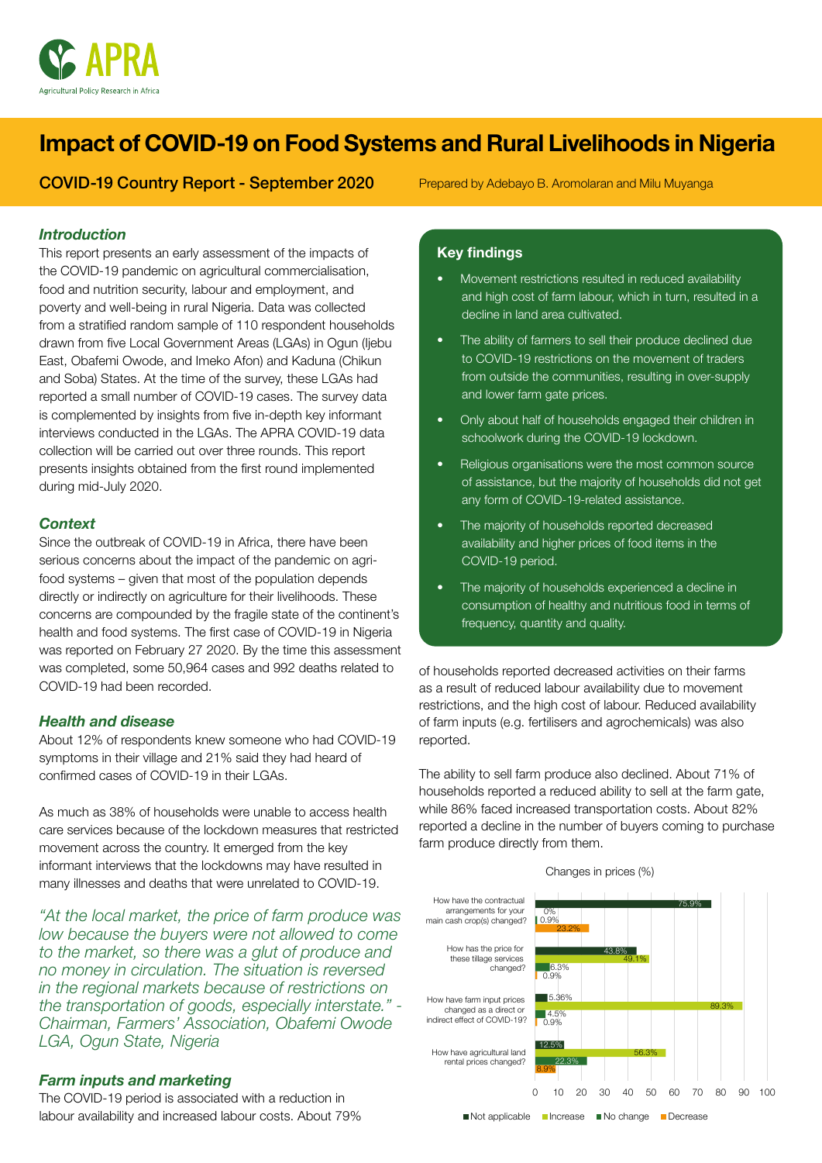

# Impact of COVID-19 on Food Systems and Rural Livelihoods in Nigeria

COVID-19 Country Report - September 2020

Prepared by Adebayo B. Aromolaran and Milu Muyanga

# *Introduction*

This report presents an early assessment of the impacts of the COVID-19 pandemic on agricultural commercialisation, food and nutrition security, labour and employment, and poverty and well-being in rural Nigeria. Data was collected from a stratified random sample of 110 respondent households drawn from five Local Government Areas (LGAs) in Ogun (Ijebu East, Obafemi Owode, and Imeko Afon) and Kaduna (Chikun and Soba) States. At the time of the survey, these LGAs had reported a small number of COVID-19 cases. The survey data is complemented by insights from five in-depth key informant interviews conducted in the LGAs. The APRA COVID-19 data collection will be carried out over three rounds. This report presents insights obtained from the first round implemented during mid-July 2020.

## *Context*

Since the outbreak of COVID-19 in Africa, there have been serious concerns about the impact of the pandemic on agrifood systems – given that most of the population depends directly or indirectly on agriculture for their livelihoods. These concerns are compounded by the fragile state of the continent's health and food systems. The first case of COVID-19 in Nigeria was reported on February 27 2020. By the time this assessment was completed, some 50,964 cases and 992 deaths related to COVID-19 had been recorded.

#### *Health and disease*

About 12% of respondents knew someone who had COVID-19 symptoms in their village and 21% said they had heard of confirmed cases of COVID-19 in their LGAs.

As much as 38% of households were unable to access health care services because of the lockdown measures that restricted movement across the country. It emerged from the key informant interviews that the lockdowns may have resulted in many illnesses and deaths that were unrelated to COVID-19.

*"At the local market, the price of farm produce was low because the buyers were not allowed to come to the market, so there was a glut of produce and no money in circulation. The situation is reversed in the regional markets because of restrictions on the transportation of goods, especially interstate." - Chairman, Farmers' Association, Obafemi Owode LGA, Ogun State, Nigeria*

# *Farm inputs and marketing*

The COVID-19 period is associated with a reduction in labour availability and increased labour costs. About 79%

# Key findings

- Movement restrictions resulted in reduced availability and high cost of farm labour, which in turn, resulted in a decline in land area cultivated.
- The ability of farmers to sell their produce declined due to COVID-19 restrictions on the movement of traders from outside the communities, resulting in over-supply and lower farm gate prices.
- Only about half of households engaged their children in schoolwork during the COVID-19 lockdown.
- Religious organisations were the most common source of assistance, but the majority of households did not get any form of COVID-19-related assistance.
- The majority of households reported decreased availability and higher prices of food items in the COVID-19 period.
- The majority of households experienced a decline in consumption of healthy and nutritious food in terms of frequency, quantity and quality.

of households reported decreased activities on their farms as a result of reduced labour availability due to movement restrictions, and the high cost of labour. Reduced availability of farm inputs (e.g. fertilisers and agrochemicals) was also reported.

The ability to sell farm produce also declined. About 71% of households reported a reduced ability to sell at the farm gate, while 86% faced increased transportation costs. About 82% reported a decline in the number of buyers coming to purchase farm produce directly from them.

Changes in prices (%)